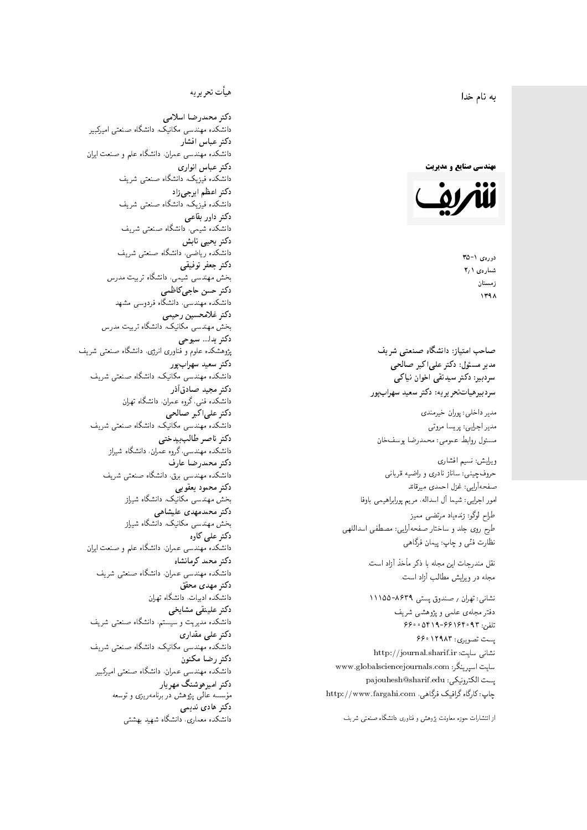$\overline{\phantom{a}}$ ز<br>ن به نام خدا .<br>.

**مهندسی صنایع و مدیریت** 



دورەي ١-٣۵ شمارەي ۲٫۱ زمستان 1398

صاحب امتیاز: دانشگاه صنعتی شریف = مدیر مسئول: دکتر علیاکبر صالحی  $\mathfrak{c}$ سردېيرهياتتحر ير يه: دکتر سعيد سهرابپور سردبیر: دکتر سیدتقی اخوان نیاکی

مدير داخلى: پوران خيرمندى<br>. مدير اجرايي: پريسا مروتي<br>. مسئول روابط عمومى: محمدرضا يوسفخان

ویرایش: نسیم افشاری<br>نهایست میلماناستان طراح لوگو: زندهیاد مرتضمی ممیز<br>ا طرح روی جلد و ساختار صفحهآرایی: مصطفی اسداللهی<br>مطلب منتقل نظارت فٽ<sub>ی</sub> و چاپ: پيمان فرگاه<sub>ی</sub><br>.

نقل مندرجات این مجله با ذکر مأخذ آزاد است.<br>مجله در ویرایش مطالب آزاد است.

نشانی: تهران / صندوق پستی ۸۶۳۹-۱۱۱۵۵ دفتر مجلهى علمى و پژوهشى شريف تلفن: ۶۶۰۰۵۴۱۹-۶۶۱۶۴۰۹۳ یست تصویری: ۶۶۰۱۲۹۸۳ نشانی سایت: http://journal.sharif.ir<br>م سايت اسپرينگر: www.globalsciencejournals.com<br>دادم و د ک majouhesh@sharif.edu ;يست الكترونيكي: http://www.fargahi.com ، جاب: كارگاه گرافيک فرگاهي حروفچینی: ساناز نادری و راضیه قربانی<br>صفحهآرایی: غزل احمدی میرتاند<br>طواح لوگو: زندهیاد مرتضی ممیز<br>طواح لوگو: زندهیاد مرتضی ممیز<br>نظارت فنّی و چاپ: پیمان فرگاهی<br>متعلم در ویرایش مطالب آزاد است.<br>نظارت فنّی و ۱۳۹۵–۱۱۱۵۵–۲۶۳۹<br>نشا

#### هيأت تحريريه

دكتر محمدرضا اسلامى مکانیک، دانشگاه صنعتی امیرکبیر<br>. دكتر عباس افشار دانشکده مهندسی عمران، دانشگاه علم و صنعت ایران<br>بحمد مصلحات دكتر عباس انوارى دانشکده فیزیک، دانشگاه صنعتبی شریف<br>محمد استانسا دکتر اعظم ايرجى زاد ، دانشگاه صنعتبی شریف<br>. دکتر داور بقاع**ی** دانشکده شیمی، دانشگاه صنعتی شریف<br>دکتر یحیی تابش دانشکده ریاضی، دانشگاه صنعتی شریف<br>برمسمنستانستان دكتر جعفر توفيقي بخش مهندسی شیمی، دانشگاه تربیت مدرس<br>سم دكتر حسن حاجىكاظمي دانشکده مهندسی، دانشگاه فردوسی مشهد<br>کستفلار م دكتر غلامحسين رحيمي هندسی مکانیک، دانشگاه تربیت مدرس<br>ا دکتر یدا... سبوحی پژوهشکده علوم و فناوری انرژی، دانشگاه صنعتبی شریف دکتر سعید سهرابپور<br>دانشکده مهندسی مکانیک، دانشگاه صنعتی شریف دکتر مجيد صادقاذر ا<br>. دانشکده فنی، گروه عمران، دانشگاه تهران دکتر علیاکبر صالحی = دانشکده مهندسی مکانیک، دانشگاه صنعتی شریف<br>یکستا دکتر ناصر طالب بیدختی r  $\mathfrak{c}$ دانشکده مهندسی، گروه عمران، دانشگاه شیراز<br>مکتب مصدر مقبل علم دكتر محمدرضا عارف دانشکده مهندسی برق، دانشگاه صنعتی شریف<br><mark>دکتر محمود یعقوبی</mark> هندسی مکانیک، دانشگاه شیراز<br>مسدوده مصلوفیاه دکتر محمدمهدی علیشاهی بخش مهندسی مکانیک، دانشگاه شیراز<br>مکتبهای کابی دکتر علی کاوہ دانشکده مهندسی عمران، دانشگاه علم و صنعت ایران<br>بحت دکتر محمد کرمانشاه .<br>. دانشکده مهندسی عمران، دانشگاه صنعتی شریف<br>مکتبر دولت مستق دکتر مهد*ی* محقق دانشکده ادبیات، دانشگاه تهران دکتر علینقی مشایخ<u>ی</u> دانشکده مدیریت و سیستم، دانشگاه صنعتبی شریف<br>محمد باست دکتر عل*ی* مقداری مکانیک، دانشگاه صنعتی شریف<br>. دكتر رضا مكنون دانشکده مهندسی عمران. دانشگاه صنعتی امیرکبیر<br>محمد است میگ دکتر امیرهوشنگ مهریار سه عالمی پژوهش در برنامهریزی و توسعه<br>۱۹ادم خار موسه<br>بر ءُ<br>ك دکتر هادی ندیمی  $\overline{a}$ م تشكل المسابق المسلم المسابق المسابق المسابق المسابق المسابق المسابق المسابق المسابق المسابق المسابق المسابق <br>المسابق المسابق المسابق المسابق المسابق المسابق المسابق المسابق المسابق المسابق المسابق المسابق المسابق المساب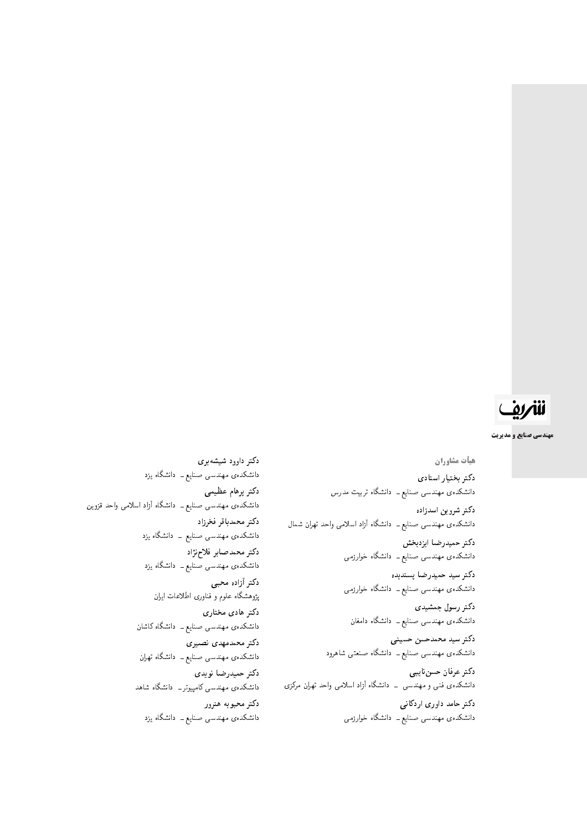# شريف

مهندسی صنایع و مدیریت

هيأت مشاوران دكتر بختيار استادى دانشکدهی مهندسی صنایع ــ دانشگاه تربیت مدرس دكتر شروين اسدزاده دانشکدهی مهندسی صنایع ــ دانشگاه آزاد اسلامی واحد تهران شمال دكتر حميدرضا ايزدبخش دانشکدهی مهندسی صنایع ــ دانشگاه خوارزمی دكتر سيد حميدرضا پسنديده دانشکدهی مهندسی صنایع ــ دانشگاه خوارزمی دکتر رسول جمشیدی دانشکدهی مهندسی صنایع ــ دانشگاه دامغان دكتر سيد محمدحسن حسينى دانشکدهی مهندسی صنایع ــ دانشگاه صنعتبی شاهرود دكتر عرفان حسننايبي دانشکدهی فنبی و مهندسی \_ دانشگاه آزاد اسلامی واحد تهران مرکزی دکتر حامد داوری اردکانی

دانشکدهی مهندسی صنایع ــ دانشگاه خوارزمی

دکتر داوود شیشه $y$ ی دانشکدهی مهندسی صنایع ــ دانشگاه یزد دكتر برهام عظيمى دانشکدهی مهندسی صنایع ــ دانشگاه آزاد اسلامی واحد قزوین دكتر محمدباقر فخرزاد دانشکدهی مهندسی صنایع ــ دانشگاه یزد دكتر محمدصابر فلاحزژاد دانشکدهی مهندسی صنایع ــ دانشگاه یزد دكتر أزاده محبى پژوهشگاه علوم و فناوری اطلاعات ایران دکتر هادی مختاری دانشکدهی مهندسی صنایع ــ دانشگاه کاشان دکتر محمدمهدی نصیری دانشکدهی مهندسی صنایع ــ دانشگاه تهران دكتر حميدرضا نويدي دانشکدهی مهندسی کامپیوتر ــ دانشگاه شاهد دكتر محبوبه هنرور دانشکدهی مهندسی صنایع ــ دانشگاه یزد